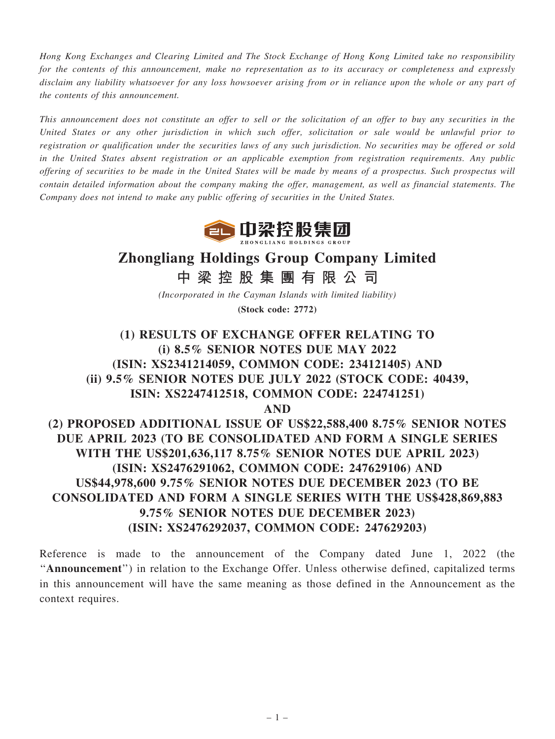Hong Kong Exchanges and Clearing Limited and The Stock Exchange of Hong Kong Limited take no responsibility for the contents of this announcement, make no representation as to its accuracy or completeness and expressly disclaim any liability whatsoever for any loss howsoever arising from or in reliance upon the whole or any part of the contents of this announcement.

This announcement does not constitute an offer to sell or the solicitation of an offer to buy any securities in the United States or any other jurisdiction in which such offer, solicitation or sale would be unlawful prior to registration or qualification under the securities laws of any such jurisdiction. No securities may be offered or sold in the United States absent registration or an applicable exemption from registration requirements. Any public offering of securities to be made in the United States will be made by means of a prospectus. Such prospectus will contain detailed information about the company making the offer, management, as well as financial statements. The Company does not intend to make any public offering of securities in the United States.



# Zhongliang Holdings Group Company Limited

中 梁 控 股 集 團 有 限 公 司

(Incorporated in the Cayman Islands with limited liability) (Stock code: 2772)

(1) RESULTS OF EXCHANGE OFFER RELATING TO (i) 8.5% SENIOR NOTES DUE MAY 2022 (ISIN: XS2341214059, COMMON CODE: 234121405) AND (ii) 9.5% SENIOR NOTES DUE JULY 2022 (STOCK CODE: 40439, ISIN: XS2247412518, COMMON CODE: 224741251)

AND

(2) PROPOSED ADDITIONAL ISSUE OF US\$22,588,400 8.75% SENIOR NOTES DUE APRIL 2023 (TO BE CONSOLIDATED AND FORM A SINGLE SERIES WITH THE US\$201,636,117 8.75% SENIOR NOTES DUE APRIL 2023) (ISIN: XS2476291062, COMMON CODE: 247629106) AND US\$44,978,600 9.75% SENIOR NOTES DUE DECEMBER 2023 (TO BE CONSOLIDATED AND FORM A SINGLE SERIES WITH THE US\$428,869,883 9.75% SENIOR NOTES DUE DECEMBER 2023) (ISIN: XS2476292037, COMMON CODE: 247629203)

Reference is made to the announcement of the Company dated June 1, 2022 (the "Announcement") in relation to the Exchange Offer. Unless otherwise defined, capitalized terms in this announcement will have the same meaning as those defined in the Announcement as the context requires.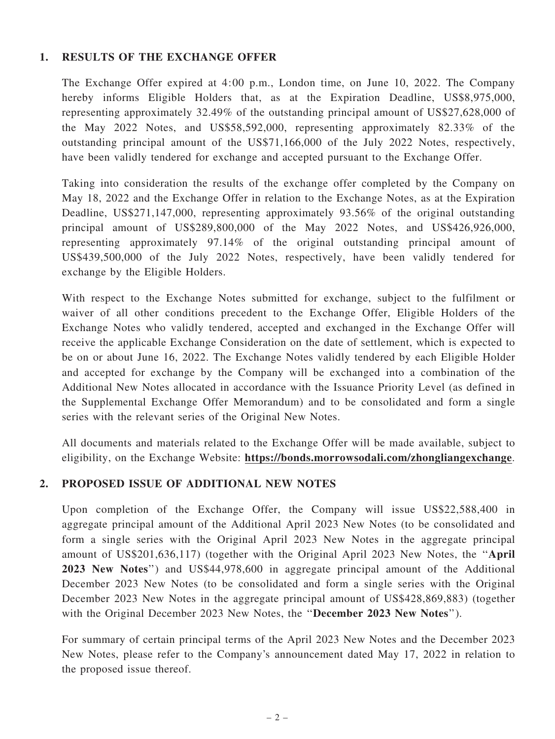# 1. RESULTS OF THE EXCHANGE OFFER

The Exchange Offer expired at 4:00 p.m., London time, on June 10, 2022. The Company hereby informs Eligible Holders that, as at the Expiration Deadline, US\$8,975,000, representing approximately 32.49% of the outstanding principal amount of US\$27,628,000 of the May 2022 Notes, and US\$58,592,000, representing approximately 82.33% of the outstanding principal amount of the US\$71,166,000 of the July 2022 Notes, respectively, have been validly tendered for exchange and accepted pursuant to the Exchange Offer.

Taking into consideration the results of the exchange offer completed by the Company on May 18, 2022 and the Exchange Offer in relation to the Exchange Notes, as at the Expiration Deadline, US\$271,147,000, representing approximately 93.56% of the original outstanding principal amount of US\$289,800,000 of the May 2022 Notes, and US\$426,926,000, representing approximately 97.14% of the original outstanding principal amount of US\$439,500,000 of the July 2022 Notes, respectively, have been validly tendered for exchange by the Eligible Holders.

With respect to the Exchange Notes submitted for exchange, subject to the fulfilment or waiver of all other conditions precedent to the Exchange Offer, Eligible Holders of the Exchange Notes who validly tendered, accepted and exchanged in the Exchange Offer will receive the applicable Exchange Consideration on the date of settlement, which is expected to be on or about June 16, 2022. The Exchange Notes validly tendered by each Eligible Holder and accepted for exchange by the Company will be exchanged into a combination of the Additional New Notes allocated in accordance with the Issuance Priority Level (as defined in the Supplemental Exchange Offer Memorandum) and to be consolidated and form a single series with the relevant series of the Original New Notes.

All documents and materials related to the Exchange Offer will be made available, subject to eligibility, on the Exchange Website: https://bonds.morrowsodali.com/zhongliangexchange.

# 2. PROPOSED ISSUE OF ADDITIONAL NEW NOTES

Upon completion of the Exchange Offer, the Company will issue US\$22,588,400 in aggregate principal amount of the Additional April 2023 New Notes (to be consolidated and form a single series with the Original April 2023 New Notes in the aggregate principal amount of US\$201,636,117) (together with the Original April 2023 New Notes, the ''April 2023 New Notes'') and US\$44,978,600 in aggregate principal amount of the Additional December 2023 New Notes (to be consolidated and form a single series with the Original December 2023 New Notes in the aggregate principal amount of US\$428,869,883) (together with the Original December 2023 New Notes, the ''December 2023 New Notes'').

For summary of certain principal terms of the April 2023 New Notes and the December 2023 New Notes, please refer to the Company's announcement dated May 17, 2022 in relation to the proposed issue thereof.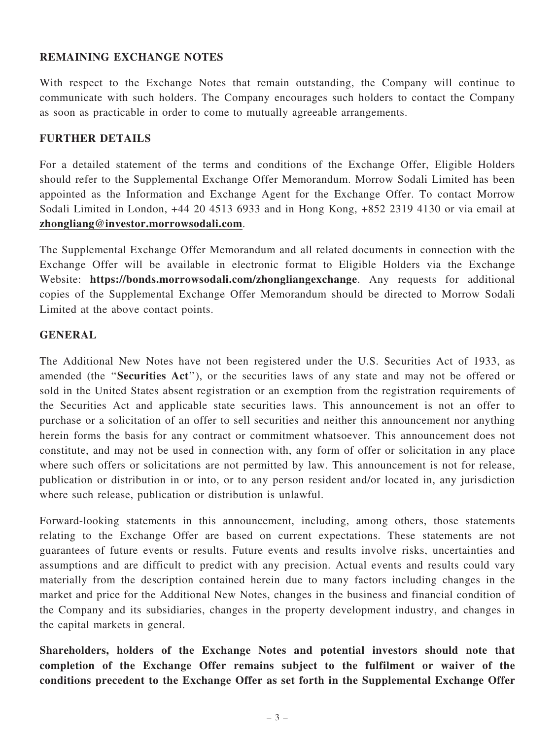### REMAINING EXCHANGE NOTES

With respect to the Exchange Notes that remain outstanding, the Company will continue to communicate with such holders. The Company encourages such holders to contact the Company as soon as practicable in order to come to mutually agreeable arrangements.

#### FURTHER DETAILS

For a detailed statement of the terms and conditions of the Exchange Offer, Eligible Holders should refer to the Supplemental Exchange Offer Memorandum. Morrow Sodali Limited has been appointed as the Information and Exchange Agent for the Exchange Offer. To contact Morrow Sodali Limited in London, +44 20 4513 6933 and in Hong Kong, +852 2319 4130 or via email at zhongliang@investor.morrowsodali.com.

The Supplemental Exchange Offer Memorandum and all related documents in connection with the Exchange Offer will be available in electronic format to Eligible Holders via the Exchange Website: https://bonds.morrowsodali.com/zhongliangexchange. Any requests for additional copies of the Supplemental Exchange Offer Memorandum should be directed to Morrow Sodali Limited at the above contact points.

#### GENERAL

The Additional New Notes have not been registered under the U.S. Securities Act of 1933, as amended (the "Securities Act"), or the securities laws of any state and may not be offered or sold in the United States absent registration or an exemption from the registration requirements of the Securities Act and applicable state securities laws. This announcement is not an offer to purchase or a solicitation of an offer to sell securities and neither this announcement nor anything herein forms the basis for any contract or commitment whatsoever. This announcement does not constitute, and may not be used in connection with, any form of offer or solicitation in any place where such offers or solicitations are not permitted by law. This announcement is not for release, publication or distribution in or into, or to any person resident and/or located in, any jurisdiction where such release, publication or distribution is unlawful.

Forward-looking statements in this announcement, including, among others, those statements relating to the Exchange Offer are based on current expectations. These statements are not guarantees of future events or results. Future events and results involve risks, uncertainties and assumptions and are difficult to predict with any precision. Actual events and results could vary materially from the description contained herein due to many factors including changes in the market and price for the Additional New Notes, changes in the business and financial condition of the Company and its subsidiaries, changes in the property development industry, and changes in the capital markets in general.

Shareholders, holders of the Exchange Notes and potential investors should note that completion of the Exchange Offer remains subject to the fulfilment or waiver of the conditions precedent to the Exchange Offer as set forth in the Supplemental Exchange Offer